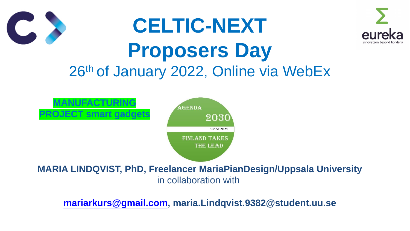# **CELTIC-NEXT Proposers Day** 26th of January 2022, Online via WebEx



### **MARIA LINDQVIST, PhD, Freelancer MariaPianDesign/Uppsala University** in collaboration with

**[mariarkurs@gmail.com](mailto:mariarkurs@gmail.com), maria.Lindqvist.9382@student.uu.se**

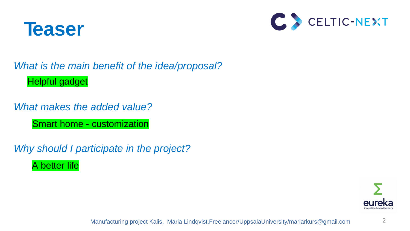

2



Manufacturing project Kalis, Maria Lindqvist,Freelancer/UppsalaUniversity/mariarkurs@gmail.com





## *What is the main benefit of the idea/proposal?*  Helpful gadget

## *What makes the added value?*

*Why should I participate in the project?* A better life

Smart home - customization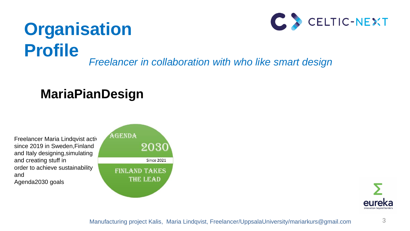

# **Organisation Profile** *Freelancer in collaboration with who like smart design*

Manufacturing project Kalis, Maria Lindqvist, Freelancer/UppsalaUniversity/mariarkurs@gmail.com





Freelancer Maria Lindqvist activ since 2019 in Sweden,Finland and Italy designing,simulating and creating stuff in order to achieve sustainability and Agenda2030 goals



# **MariaPianDesign**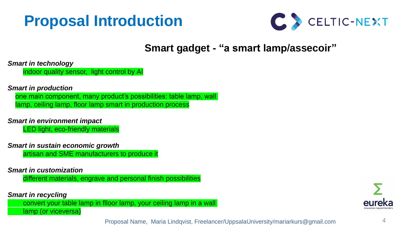# **Proposal Introduction**

*Smart in technology* 

indoor quality sensor, light control by AI

#### *Smart in production*

one main component, many product's possibilities: table lamp, wall lamp, ceiling lamp, floor lamp smart in production process

*Smart in environment impact* 

LED light, eco-friendly materials

#### *Smart in sustain economic growth*

artisan and SME manufacturers to produce it

#### *Smart in customization*

different materials, engrave and personal finish possibilities

#### *Smart in recycling*

convert your table lamp in flloor lamp, your ceiling lamp in a wall lamp (or viceversa)

Proposal Name, Maria Lindqvist, Freelancer/UppsalaUniversity/mariarkurs@gmail.com







## **Smart gadget - "a smart lamp/assecoir"**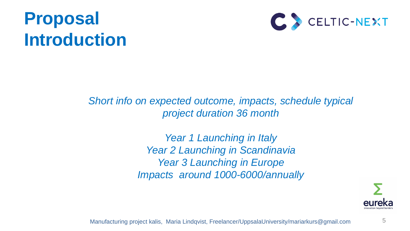# **Proposal Introduction**

5

**Short info on expected outcome, impacts, schedule typical** *project duration 36 month* 

> *Year 1 Launching in Italy Year 2 Launching in Scandinavia Year 3 Launching in Europe Impacts around 1000-6000/annually*

Manufacturing project kalis, Maria Lindqvist, Freelancer/UppsalaUniversity/mariarkurs@gmail.com



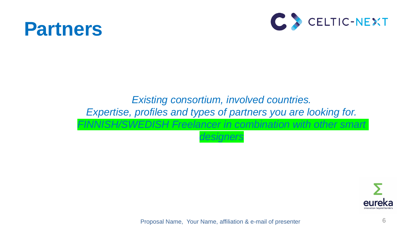

6

## *Existing consortium, involved countries. Expertise, profiles and types of partners you are looking for. FINNISH/SWEDISH Freelancer in combination with other smart designers*

Proposal Name, Your Name, affiliation & e-mail of presenter



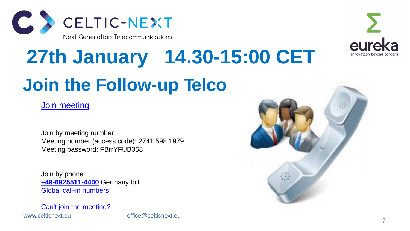

# **Join the Follow-up Telco 27th January 14.30-15:00 CET**

[Join meeting](https://eurescom-meetings.webex.com/eurescom-meetings/j.php?MTID=m8ced009c91d6aca0e67adce1da5f8615)

Join by meeting number Meeting number (access code): 2741 598 1979 Meeting password: FBrrYFUB358

Join by phone **[+49-6925511-4400](tel:+49-6925511-4400,,*01*955071414##*01*)** Germany toll [Global call-in numbers](https://eurescom.webex.com/eurescom/globalcallin.php?serviceType=MC&ED=697732507&tollFree=0)

[Can't join the meeting?](https://collaborationhelp.cisco.com/article/WBX000029055)

www.celticnext.eu office@celticnext.eu